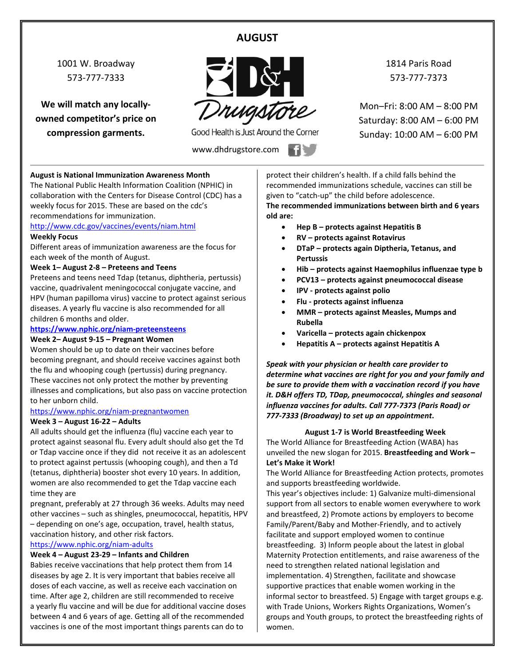# **AUGUST**

1001 W. Broadway 573-777-7333

**We will match any locallyowned competitor's price on compression garments.**



Good Health is Just Around the Corner

www.dhdrugstore.com

1814 Paris Road 573-777-7373

Mon–Fri: 8:00 AM – 8:00 PM Saturday: 8:00 AM – 6:00 PM Sunday: 10:00 AM – 6:00 PM

#### **August is National Immunization Awareness Month**

The National Public Health Information Coalition (NPHIC) in collaboration with the Centers for Disease Control (CDC) has a weekly focus for 2015. These are based on the cdc's recommendations for immunization.

<http://www.cdc.gov/vaccines/events/niam.html>

#### **Weekly Focus**

Different areas of immunization awareness are the focus for each week of the month of August.

#### **Week 1– August 2-8 – Preteens and Teens**

Preteens and teens need Tdap (tetanus, diphtheria, pertussis) vaccine, quadrivalent meningococcal conjugate vaccine, and HPV (human papilloma virus) vaccine to protect against serious diseases. A yearly flu vaccine is also recommended for all children 6 months and older.

# **<https://www.nphic.org/niam-preteensteens>**

### **Week 2– August 9-15 – Pregnant Women**

Women should be up to date on their vaccines before becoming pregnant, and should receive vaccines against both the flu and whooping cough (pertussis) during pregnancy. These vaccines not only protect the mother by preventing illnesses and complications, but also pass on vaccine protection to her unborn child.

#### <https://www.nphic.org/niam-pregnantwomen>

#### **Week 3 – August 16-22 – Adults**

All adults should get the influenza (flu) vaccine each year to protect against seasonal flu. Every adult should also get the Td or Tdap vaccine once if they did not receive it as an adolescent to protect against pertussis (whooping cough), and then a Td (tetanus, diphtheria) booster shot every 10 years. In addition, women are also recommended to get the Tdap vaccine each time they are

pregnant, preferably at 27 through 36 weeks. Adults may need other vaccines – such as shingles, pneumococcal, hepatitis, HPV – depending on one's age, occupation, travel, health status, vaccination history, and other risk factors.

#### <https://www.nphic.org/niam-adults>

#### **Week 4 – August 23-29 – Infants and Children**

Babies receive vaccinations that help protect them from 14 diseases by age 2. It is very important that babies receive all doses of each vaccine, as well as receive each vaccination on time. After age 2, children are still recommended to receive a yearly flu vaccine and will be due for additional vaccine doses between 4 and 6 years of age. Getting all of the recommended vaccines is one of the most important things parents can do to

protect their children's health. If a child falls behind the recommended immunizations schedule, vaccines can still be given to "catch-up" the child before adolescence.

**The recommended immunizations between birth and 6 years old are:**

- **Hep B – protects against Hepatitis B**
- **RV – protects against Rotavirus**
- **DTaP – protects again Diptheria, Tetanus, and Pertussis**
- **Hib – protects against Haemophilus influenzae type b**
- **PCV13 – protects against pneumococcal disease**
- **IPV - protects against polio**
- **Flu - protects against influenza**
- **MMR – protects against Measles, Mumps and Rubella**
- **Varicella – protects again chickenpox**
- **Hepatitis A – protects against Hepatitis A**

*Speak with your physician or health care provider to determine what vaccines are right for you and your family and be sure to provide them with a vaccination record if you have it. D&H offers TD, TDap, pneumococcal, shingles and seasonal influenza vaccines for adults. Call 777-7373 (Paris Road) or 777-7333 (Broadway) to set up an appointment***.**

#### **August 1-7 is World Breastfeeding Week**

The World Alliance for Breastfeeding Action (WABA) has unveiled the new slogan for 2015. **Breastfeeding and Work – Let's Make it Work!**

The World Alliance for Breastfeeding Action protects, promotes and supports breastfeeding worldwide.

This year's objectives include: 1) Galvanize multi-dimensional support from all sectors to enable women everywhere to work and breastfeed, 2) Promote actions by employers to become Family/Parent/Baby and Mother-Friendly, and to actively facilitate and support employed women to continue breastfeeding. 3) Inform people about the latest in global Maternity Protection entitlements, and raise awareness of the need to strengthen related national legislation and implementation. 4) Strengthen, facilitate and showcase supportive practices that enable women working in the informal sector to breastfeed. 5) Engage with target groups e.g. with Trade Unions, Workers Rights Organizations, Women's groups and Youth groups, to protect the breastfeeding rights of women.